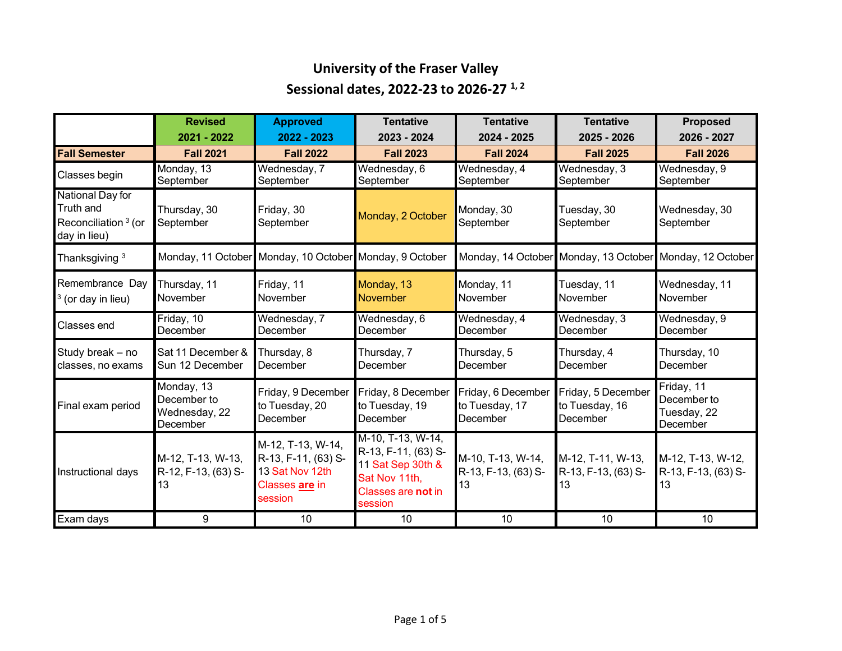## **University of the Fraser Valley Sessional dates, 2022-23 to 2026-27 1, <sup>2</sup>**

|                                                                                  | <b>Revised</b><br>2021 - 2022                          | <b>Approved</b><br>2022 - 2023                                                           | <b>Tentative</b><br>2023 - 2024                                                                                 | <b>Tentative</b><br>2024 - 2025                  | <b>Tentative</b><br>2025 - 2026                          | <b>Proposed</b><br>2026 - 2027                       |
|----------------------------------------------------------------------------------|--------------------------------------------------------|------------------------------------------------------------------------------------------|-----------------------------------------------------------------------------------------------------------------|--------------------------------------------------|----------------------------------------------------------|------------------------------------------------------|
| <b>Fall Semester</b>                                                             | <b>Fall 2021</b>                                       | <b>Fall 2022</b>                                                                         | <b>Fall 2023</b>                                                                                                | <b>Fall 2024</b>                                 | <b>Fall 2025</b>                                         | <b>Fall 2026</b>                                     |
| Classes begin                                                                    | Monday, 13<br>September                                | Wednesday, 7<br>September                                                                | Wednesday, 6<br>September                                                                                       | Wednesday, 4<br>September                        | Wednesday, 3<br>September                                | Wednesday, 9<br>September                            |
| National Day for<br>Truth and<br>Reconciliation <sup>3</sup> (or<br>day in lieu) | Thursday, 30<br>September                              | Friday, 30<br>September                                                                  | Monday, 2 October                                                                                               | Monday, 30<br>September                          | Tuesday, 30<br>September                                 | Wednesday, 30<br>September                           |
| Thanksgiving <sup>3</sup>                                                        |                                                        | Monday, 11 October Monday, 10 October Monday, 9 October                                  |                                                                                                                 |                                                  | Monday, 14 October Monday, 13 October Monday, 12 October |                                                      |
| Remembrance Day<br>$3$ (or day in lieu)                                          | Thursday, 11<br>November                               | Friday, 11<br>November                                                                   | Monday, 13<br><b>November</b>                                                                                   | Monday, 11<br>November                           | Tuesday, 11<br>November                                  | Wednesday, 11<br>November                            |
| Classes end                                                                      | Friday, 10<br>December                                 | Wednesday, 7<br>December                                                                 | Wednesday, 6<br>December                                                                                        | Wednesday, 4<br>December                         | Wednesday, 3<br>December                                 | Wednesday, 9<br>December                             |
| Study break - no<br>classes, no exams                                            | Sat 11 December &<br>Sun 12 December                   | Thursday, 8<br>December                                                                  | Thursday, 7<br>December                                                                                         | Thursday, 5<br>December                          | Thursday, 4<br>December                                  | Thursday, 10<br>December                             |
| Final exam period                                                                | Monday, 13<br>December to<br>Wednesday, 22<br>December | Friday, 9 December<br>to Tuesday, 20<br>December                                         | Friday, 8 December<br>to Tuesday, 19<br>December                                                                | Friday, 6 December<br>to Tuesday, 17<br>December | Friday, 5 December<br>to Tuesday, 16<br>December         | Friday, 11<br>December to<br>Tuesday, 22<br>December |
| Instructional days                                                               | M-12, T-13, W-13,<br>R-12, F-13, (63) S-<br>13         | M-12, T-13, W-14,<br>R-13, F-11, (63) S-<br>13 Sat Nov 12th<br>Classes are in<br>session | M-10, T-13, W-14,<br>R-13, F-11, (63) S-<br>11 Sat Sep 30th &<br>Sat Nov 11th,<br>Classes are not in<br>session | M-10, T-13, W-14,<br>R-13, F-13, (63) S-<br>13   | M-12, T-11, W-13,<br>R-13, F-13, (63) S-<br>13           | M-12, T-13, W-12,<br>R-13, F-13, (63) S-<br>13       |
| Exam days                                                                        | 9                                                      | 10                                                                                       | 10                                                                                                              | 10                                               | 10                                                       | 10                                                   |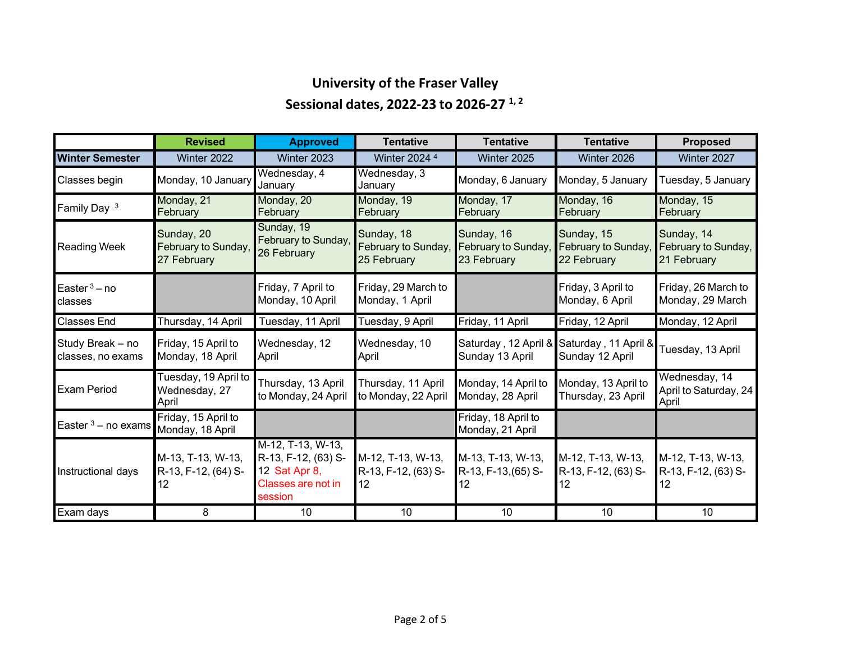# **University of the Fraser Valley Sessional dates, 2022-23 to 2026-27 1, <sup>2</sup>**

|                                       | <b>Revised</b>                                   | <b>Approved</b>                                                                            | <b>Tentative</b>                                 | <b>Tentative</b>                                 | <b>Tentative</b>                                             | <b>Proposed</b>                                  |
|---------------------------------------|--------------------------------------------------|--------------------------------------------------------------------------------------------|--------------------------------------------------|--------------------------------------------------|--------------------------------------------------------------|--------------------------------------------------|
| <b>Winter Semester</b>                | Winter 2022                                      | Winter 2023                                                                                | Winter 2024 <sup>4</sup>                         | Winter 2025                                      | Winter 2026                                                  | Winter 2027                                      |
| Classes begin                         | Monday, 10 January                               | Wednesday, 4<br>January                                                                    | Wednesday, 3<br>January                          | Monday, 6 January                                | Monday, 5 January                                            | Tuesday, 5 January                               |
| Family Day 3                          | Monday, 21<br>February                           | Monday, 20<br>February                                                                     | Monday, 19<br>February                           | Monday, 17<br>February                           | Monday, 16<br>February                                       | Monday, 15<br>February                           |
| <b>Reading Week</b>                   | Sunday, 20<br>February to Sunday,<br>27 February | Sunday, 19<br>February to Sunday,<br>26 February                                           | Sunday, 18<br>February to Sunday,<br>25 February | Sunday, 16<br>February to Sunday,<br>23 February | Sunday, 15<br>February to Sunday,<br>22 February             | Sunday, 14<br>February to Sunday,<br>21 February |
| Easter $3 - no$<br>classes            |                                                  | Friday, 7 April to<br>Monday, 10 April                                                     | Friday, 29 March to<br>Monday, 1 April           |                                                  | Friday, 3 April to<br>Monday, 6 April                        | Friday, 26 March to<br>Monday, 29 March          |
| <b>Classes End</b>                    | Thursday, 14 April                               | Tuesday, 11 April                                                                          | Tuesday, 9 April                                 | Friday, 11 April                                 | Friday, 12 April                                             | Monday, 12 April                                 |
| Study Break - no<br>classes, no exams | Friday, 15 April to<br>Monday, 18 April          | Wednesday, 12<br>April                                                                     | Wednesday, 10<br>April                           | Sunday 13 April                                  | Saturday, 12 April & Saturday, 11 April &<br>Sunday 12 April | Tuesday, 13 April                                |
| <b>Exam Period</b>                    | Tuesday, 19 April to<br>Wednesday, 27<br>April   | Thursday, 13 April<br>to Monday, 24 April                                                  | Thursday, 11 April<br>to Monday, 22 April        | Monday, 14 April to<br>Monday, 28 April          | Monday, 13 April to<br>Thursday, 23 April                    | Wednesday, 14<br>April to Saturday, 24<br>April  |
| Easter $3 -$ no exams                 | Friday, 15 April to<br>Monday, 18 April          |                                                                                            |                                                  | Friday, 18 April to<br>Monday, 21 April          |                                                              |                                                  |
| Instructional days                    | M-13, T-13, W-13,<br>R-13, F-12, (64) S-<br>12   | M-12, T-13, W-13,<br>R-13, F-12, (63) S-<br>12 Sat Apr 8,<br>Classes are not in<br>session | M-12, T-13, W-13,<br>R-13, F-12, (63) S-<br>12   | M-13, T-13, W-13,<br>R-13, F-13, (65) S-<br>12   | M-12, T-13, W-13,<br>R-13, F-12, (63) S-<br>12               | M-12, T-13, W-13,<br>R-13, F-12, (63) S-<br>12   |
| Exam days                             | 8                                                | 10                                                                                         | 10                                               | 10                                               | 10                                                           | 10                                               |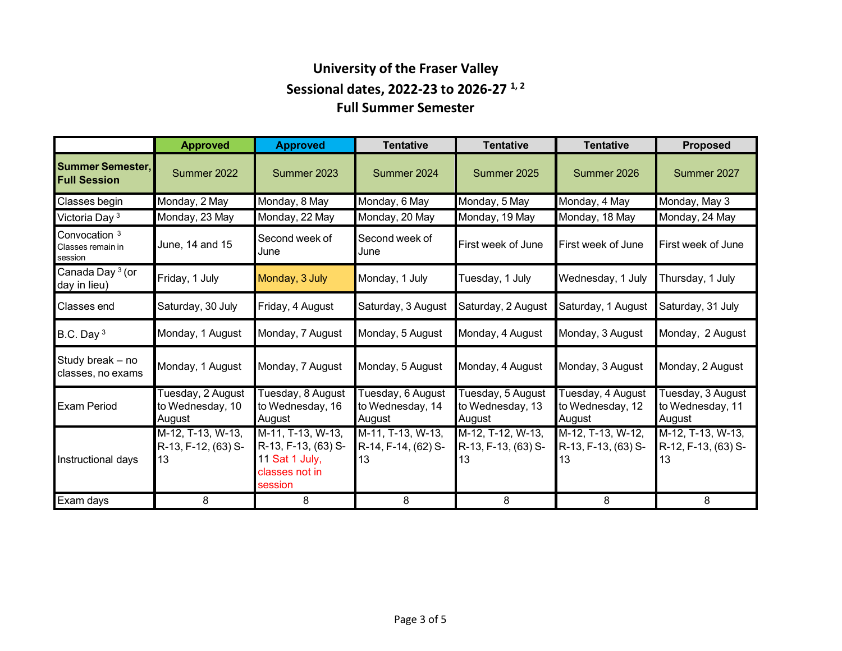### **University of the Fraser Valley Sessional dates, 2022-23 to 2026-27 1, <sup>2</sup> Full Summer Semester**

|                                                          | <b>Approved</b>                                 | <b>Approved</b>                                                                         | Tentative                                       | <b>Tentative</b>                                | <b>Tentative</b>                                | <b>Proposed</b>                                 |
|----------------------------------------------------------|-------------------------------------------------|-----------------------------------------------------------------------------------------|-------------------------------------------------|-------------------------------------------------|-------------------------------------------------|-------------------------------------------------|
| <b>Summer Semester,</b><br><b>Full Session</b>           | Summer 2022                                     | Summer 2023                                                                             | Summer 2024                                     | Summer 2025                                     | Summer 2026                                     | Summer 2027                                     |
| Classes begin                                            | Monday, 2 May                                   | Monday, 8 May                                                                           | Monday, 6 May                                   | Monday, 5 May                                   | Monday, 4 May                                   | Monday, May 3                                   |
| Victoria Day <sup>3</sup>                                | Monday, 23 May                                  | Monday, 22 May                                                                          | Monday, 20 May                                  | Monday, 19 May                                  | Monday, 18 May                                  | Monday, 24 May                                  |
| Convocation <sup>3</sup><br>Classes remain in<br>session | June, 14 and 15                                 | Second week of<br>June                                                                  | Second week of<br>June                          | First week of June                              | First week of June                              | First week of June                              |
| Canada Day <sup>3</sup> (or<br>day in lieu)              | Friday, 1 July                                  | Monday, 3 July                                                                          | Monday, 1 July                                  | Tuesday, 1 July                                 | Wednesday, 1 July                               | Thursday, 1 July                                |
| Classes end                                              | Saturday, 30 July                               | Friday, 4 August                                                                        | Saturday, 3 August                              | Saturday, 2 August                              | Saturday, 1 August                              | Saturday, 31 July                               |
| B.C. Day $3$                                             | Monday, 1 August                                | Monday, 7 August                                                                        | Monday, 5 August                                | Monday, 4 August                                | Monday, 3 August                                | Monday, 2 August                                |
| Study break - no<br>classes, no exams                    | Monday, 1 August                                | Monday, 7 August                                                                        | Monday, 5 August                                | Monday, 4 August                                | Monday, 3 August                                | Monday, 2 August                                |
| <b>Exam Period</b>                                       | Tuesday, 2 August<br>to Wednesday, 10<br>August | Tuesday, 8 August<br>to Wednesday, 16<br>August                                         | Tuesday, 6 August<br>to Wednesday, 14<br>August | Tuesday, 5 August<br>to Wednesday, 13<br>August | Tuesday, 4 August<br>to Wednesday, 12<br>August | Tuesday, 3 August<br>to Wednesday, 11<br>August |
| Instructional days                                       | M-12, T-13, W-13,<br>R-13, F-12, (63) S-<br>13  | M-11, T-13, W-13,<br>R-13, F-13, (63) S-<br>11 Sat 1 July,<br>classes not in<br>session | M-11, T-13, W-13,<br>R-14, F-14, (62) S-<br>13  | M-12, T-12, W-13,<br>R-13, F-13, (63) S-<br>13  | M-12, T-13, W-12,<br>R-13, F-13, (63) S-<br>13  | M-12, T-13, W-13,<br>R-12, F-13, (63) S-<br>13  |
| Exam days                                                | 8                                               | 8                                                                                       | 8                                               | 8                                               | 8                                               | 8                                               |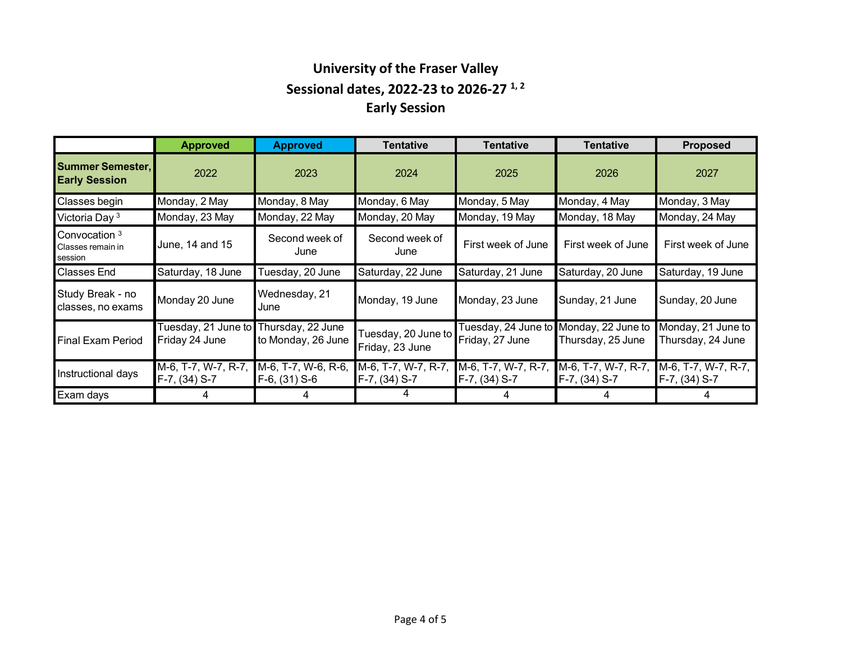## **University of the Fraser Valley Sessional dates, 2022-23 to 2026-27 1, <sup>2</sup> Early Session**

|                                                 | <b>Approved</b>                       | <b>Approved</b>                         | Tentative                              | Tentative                              | Tentative                               | <b>Proposed</b>                         |
|-------------------------------------------------|---------------------------------------|-----------------------------------------|----------------------------------------|----------------------------------------|-----------------------------------------|-----------------------------------------|
| <b>Summer Semester,</b><br><b>Early Session</b> | 2022                                  | 2023                                    | 2024                                   | 2025                                   | 2026                                    | 2027                                    |
| Classes begin                                   | Monday, 2 May                         | Monday, 8 May                           | Monday, 6 May                          | Monday, 5 May                          | Monday, 4 May                           | Monday, 3 May                           |
| Victoria Day <sup>3</sup>                       | Monday, 23 May                        | Monday, 22 May                          | Monday, 20 May                         | Monday, 19 May                         | Monday, 18 May                          | Monday, 24 May                          |
| Convocation 3<br>Classes remain in<br>session   | June, 14 and 15                       | Second week of<br>June                  | Second week of<br>June                 | First week of June                     | First week of June                      | First week of June                      |
| <b>Classes End</b>                              | Saturday, 18 June                     | Tuesday, 20 June                        | Saturday, 22 June                      | Saturday, 21 June                      | Saturday, 20 June                       | Saturday, 19 June                       |
| Study Break - no<br>classes, no exams           | Monday 20 June                        | Wednesday, 21<br>June                   | Monday, 19 June                        | Monday, 23 June                        | Sunday, 21 June                         | Sunday, 20 June                         |
| <b>Final Exam Period</b>                        | Tuesday, 21 June to<br>Friday 24 June | Thursday, 22 June<br>to Monday, 26 June | Tuesday, 20 June to<br>Friday, 23 June | Tuesday, 24 June to<br>Friday, 27 June | Monday, 22 June to<br>Thursday, 25 June | Monday, 21 June to<br>Thursday, 24 June |
| Instructional days                              | M-6, T-7, W-7, R-7,<br>F-7, (34) S-7  | M-6, T-7, W-6, R-6,<br>$F-6$ , (31) S-6 | M-6, T-7, W-7, R-7,<br>F-7, (34) S-7   | M-6, T-7, W-7, R-7,<br>F-7, (34) S-7   | M-6, T-7, W-7, R-7,<br>F-7, (34) S-7    | M-6, T-7, W-7, R-7,<br>F-7, (34) S-7    |
| Exam days                                       |                                       |                                         |                                        |                                        |                                         |                                         |